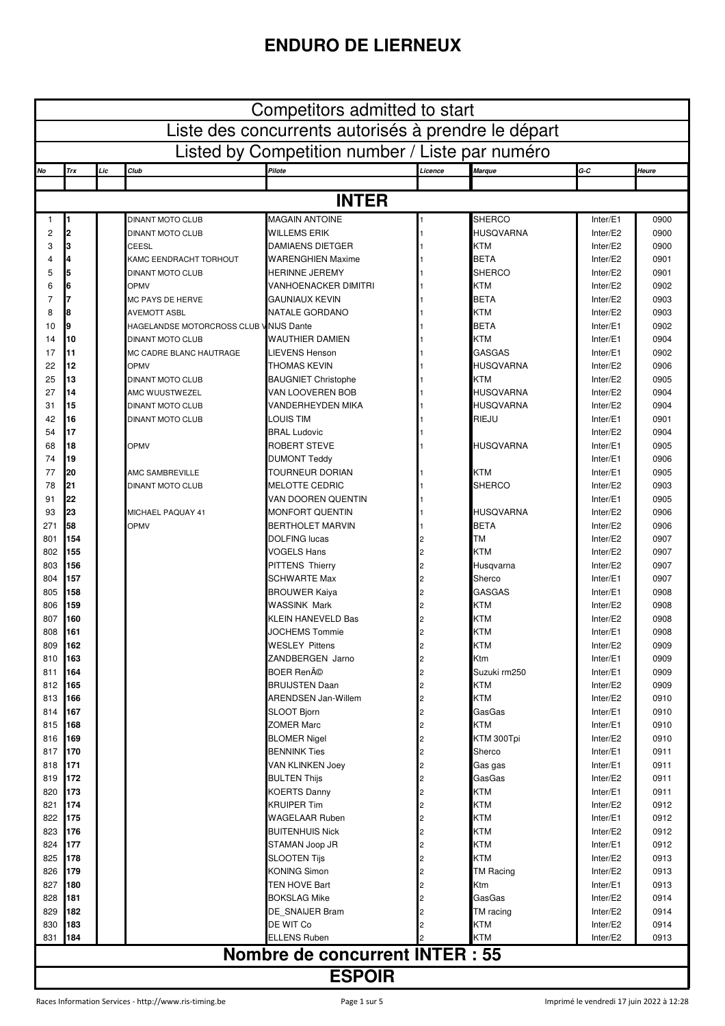## **ENDURO DE LIERNEUX**

| Competitors admitted to start                       |               |     |                                                   |                                             |         |                              |                      |              |  |
|-----------------------------------------------------|---------------|-----|---------------------------------------------------|---------------------------------------------|---------|------------------------------|----------------------|--------------|--|
| Liste des concurrents autorisés à prendre le départ |               |     |                                                   |                                             |         |                              |                      |              |  |
| Listed by Competition number / Liste par numéro     |               |     |                                                   |                                             |         |                              |                      |              |  |
| No                                                  | Trx           | Lic | Club                                              | Pilote                                      | Licence | <b>Marque</b>                | G-C                  | Heure        |  |
|                                                     |               |     |                                                   |                                             |         |                              |                      |              |  |
|                                                     |               |     |                                                   | <b>INTER</b>                                |         |                              |                      |              |  |
| 1                                                   |               |     | <b>DINANT MOTO CLUB</b>                           | <b>MAGAIN ANTOINE</b>                       |         | <b>SHERCO</b>                | Inter/E1             | 0900         |  |
| $\overline{c}$                                      | 2             |     | <b>DINANT MOTO CLUB</b>                           | <b>WILLEMS ERIK</b>                         |         | <b>HUSQVARNA</b>             | Inter/E2             | 0900         |  |
| 3                                                   | 3<br>4        |     | CEESL                                             | <b>DAMIAENS DIETGER</b>                     |         | <b>KTM</b>                   | Inter/E2<br>Inter/E2 | 0900         |  |
| $\overline{4}$<br>5                                 | 5             |     | KAMC EENDRACHT TORHOUT<br><b>DINANT MOTO CLUB</b> | <b>WARENGHIEN Maxime</b><br>HERINNE JEREMY  |         | <b>BETA</b><br><b>SHERCO</b> | Inter/E2             | 0901<br>0901 |  |
| 6                                                   | 6             |     | <b>OPMV</b>                                       | VANHOENACKER DIMITRI                        |         | <b>KTM</b>                   | Inter/E2             | 0902         |  |
| $\overline{7}$                                      |               |     | MC PAYS DE HERVE                                  | <b>GAUNIAUX KEVIN</b>                       |         | <b>BETA</b>                  | Inter/E2             | 0903         |  |
| 8                                                   | 8             |     | AVEMOTT ASBL                                      | NATALE GORDANO                              |         | <b>KTM</b>                   | Inter/E2             | 0903         |  |
| 10                                                  | 9             |     | HAGELANDSE MOTORCROSS CLUB V                      | <b>NIJS Dante</b>                           |         | <b>BETA</b>                  | Inter/E1             | 0902         |  |
| 14                                                  | 10            |     | <b>DINANT MOTO CLUB</b>                           | WAUTHIER DAMIEN                             |         | <b>KTM</b>                   | Inter/E1             | 0904         |  |
| 17                                                  | 11            |     | MC CADRE BLANC HAUTRAGE                           | LIEVENS Henson                              |         | <b>GASGAS</b>                | Inter/E1             | 0902         |  |
| 22                                                  | 12            |     | <b>OPMV</b>                                       | THOMAS KEVIN                                |         | <b>HUSQVARNA</b>             | Inter/E2             | 0906         |  |
| 25                                                  | 13            |     | <b>DINANT MOTO CLUB</b>                           | <b>BAUGNIET Christophe</b>                  |         | <b>KTM</b>                   | Inter/E2             | 0905         |  |
| 27                                                  | 14            |     | AMC WUUSTWEZEL                                    | VAN LOOVEREN BOB                            |         | <b>HUSQVARNA</b>             | Inter/E2             | 0904         |  |
| 31                                                  | 15            |     | <b>DINANT MOTO CLUB</b>                           | <b>VANDERHEYDEN MIKA</b>                    |         | <b>HUSQVARNA</b>             | Inter/E2             | 0904         |  |
| 42                                                  | 16            |     | <b>DINANT MOTO CLUB</b>                           | LOUIS TIM                                   |         | RIEJU                        | Inter/E1             | 0901         |  |
| 54                                                  | 17            |     |                                                   | <b>BRAL Ludovic</b>                         |         |                              | Inter/E2             | 0904         |  |
| 68                                                  | 18            |     | <b>OPMV</b>                                       | <b>ROBERT STEVE</b>                         |         | HUSQVARNA                    | Inter/E1             | 0905         |  |
| 74                                                  | 19            |     |                                                   | <b>DUMONT Teddy</b>                         |         |                              | Inter/E1             | 0906         |  |
| 77                                                  | 20            |     | AMC SAMBREVILLE                                   | TOURNEUR DORIAN                             |         | <b>KTM</b>                   | Inter/E1             | 0905         |  |
| 78<br>91                                            | 21<br>22      |     | <b>DINANT MOTO CLUB</b>                           | <b>MELOTTE CEDRIC</b><br>VAN DOOREN QUENTIN |         | <b>SHERCO</b>                | Inter/E2<br>Inter/E1 | 0903<br>0905 |  |
| 93                                                  | 23            |     | MICHAEL PAQUAY 41                                 | <b>MONFORT QUENTIN</b>                      |         | HUSQVARNA                    | Inter/E2             | 0906         |  |
| 271                                                 | 58            |     | <b>OPMV</b>                                       | <b>BERTHOLET MARVIN</b>                     |         | <b>BETA</b>                  | Inter/E2             | 0906         |  |
| 801                                                 | 154           |     |                                                   | <b>DOLFING lucas</b>                        |         | <b>TM</b>                    | Inter/E2             | 0907         |  |
| 802                                                 | 155           |     |                                                   | <b>VOGELS Hans</b>                          |         | <b>KTM</b>                   | Inter/E2             | 0907         |  |
| 803                                                 | 156           |     |                                                   | <b>PITTENS Thierry</b>                      |         | Husqvarna                    | Inter/E2             | 0907         |  |
| 804                                                 | 157           |     |                                                   | <b>SCHWARTE Max</b>                         |         | Sherco                       | Inter/E1             | 0907         |  |
| 805                                                 | 158           |     |                                                   | <b>BROUWER Kaiya</b>                        |         | <b>GASGAS</b>                | Inter/E1             | 0908         |  |
| 806                                                 | 159           |     |                                                   | <b>WASSINK Mark</b>                         |         | <b>KTM</b>                   | Inter/E2             | 0908         |  |
| 807                                                 | 160           |     |                                                   | <b>KLEIN HANEVELD Bas</b>                   |         | <b>KTM</b>                   | Inter/E2             | 0908         |  |
| 808                                                 | 161           |     |                                                   | JOCHEMS Tommie                              |         | <b>KTM</b>                   | Inter/E1             | 0908         |  |
| 809                                                 | 162           |     |                                                   | <b>WESLEY Pittens</b>                       |         | KTM                          | Inter/E2             | 0909         |  |
| 810                                                 | 163           |     |                                                   | ZANDBERGEN Jarno                            |         | Ktm                          | Inter/E1             | 0909         |  |
| 811                                                 | 164           |     |                                                   | <b>BOER René</b>                            |         | Suzuki rm250                 | Inter/E1             | 0909         |  |
| 812                                                 | 165           |     |                                                   | <b>BRUIJSTEN Daan</b>                       |         | <b>KTM</b>                   | Inter/E2             | 0909         |  |
| 813                                                 | 166<br>167    |     |                                                   | <b>ARENDSEN Jan-Willem</b>                  |         | <b>KTM</b><br>GasGas         | Inter/E2             | 0910         |  |
| 814<br>815                                          | 168           |     |                                                   | SLOOT Bjorn<br><b>ZOMER Marc</b>            |         | <b>KTM</b>                   | Inter/E1<br>Inter/E1 | 0910<br>0910 |  |
| 816                                                 | 169           |     |                                                   | <b>BLOMER Nigel</b>                         |         | KTM 300Tpi                   | Inter/E2             | 0910         |  |
| 817                                                 | 170           |     |                                                   | <b>BENNINK Ties</b>                         |         | Sherco                       | Inter/E1             | 0911         |  |
| 818                                                 | 171           |     |                                                   | <b>VAN KLINKEN Joey</b>                     |         | Gas gas                      | Inter/E1             | 0911         |  |
| 819                                                 | 172           |     |                                                   | <b>BULTEN Thijs</b>                         |         | GasGas                       | Inter/E2             | 0911         |  |
| 820                                                 | 173           |     |                                                   | <b>KOERTS Danny</b>                         |         | <b>KTM</b>                   | Inter/E1             | 0911         |  |
| 821                                                 | 174           |     |                                                   | <b>KRUIPER Tim</b>                          |         | <b>KTM</b>                   | Inter/E2             | 0912         |  |
| 822                                                 | 175           |     |                                                   | <b>WAGELAAR Ruben</b>                       |         | <b>KTM</b>                   | Inter/E1             | 0912         |  |
| 823                                                 | 176           |     |                                                   | <b>BUITENHUIS Nick</b>                      |         | <b>KTM</b>                   | Inter/E2             | 0912         |  |
| 824                                                 | 177           |     |                                                   | STAMAN Joop JR                              |         | <b>KTM</b>                   | Inter/E1             | 0912         |  |
| 825                                                 | 178           |     |                                                   | <b>SLOOTEN Tijs</b>                         |         | <b>KTM</b>                   | Inter/E2             | 0913         |  |
| 826                                                 | 179           |     |                                                   | <b>KONING Simon</b>                         |         | <b>TM Racing</b>             | Inter/E2             | 0913         |  |
| 827                                                 | 180           |     |                                                   | <b>TEN HOVE Bart</b>                        |         | Ktm                          | Inter/E1             | 0913         |  |
| 828                                                 | 181           |     |                                                   | <b>BOKSLAG Mike</b>                         |         | GasGas                       | Inter/E2             | 0914         |  |
| 829                                                 | 182           |     |                                                   | DE SNAIJER Bram                             |         | TM racing                    | Inter/E2             | 0914         |  |
| 830                                                 | 183<br>184    |     |                                                   | DE WIT Co<br><b>ELLENS Ruben</b>            |         | <b>KTM</b><br>KTM            | Inter/E2             | 0914         |  |
| 831                                                 |               |     |                                                   |                                             |         |                              | Inter/E2             | 0913         |  |
| <b>Nombre de concurrent INTER : 55</b>              |               |     |                                                   |                                             |         |                              |                      |              |  |
|                                                     | <b>ESPOIR</b> |     |                                                   |                                             |         |                              |                      |              |  |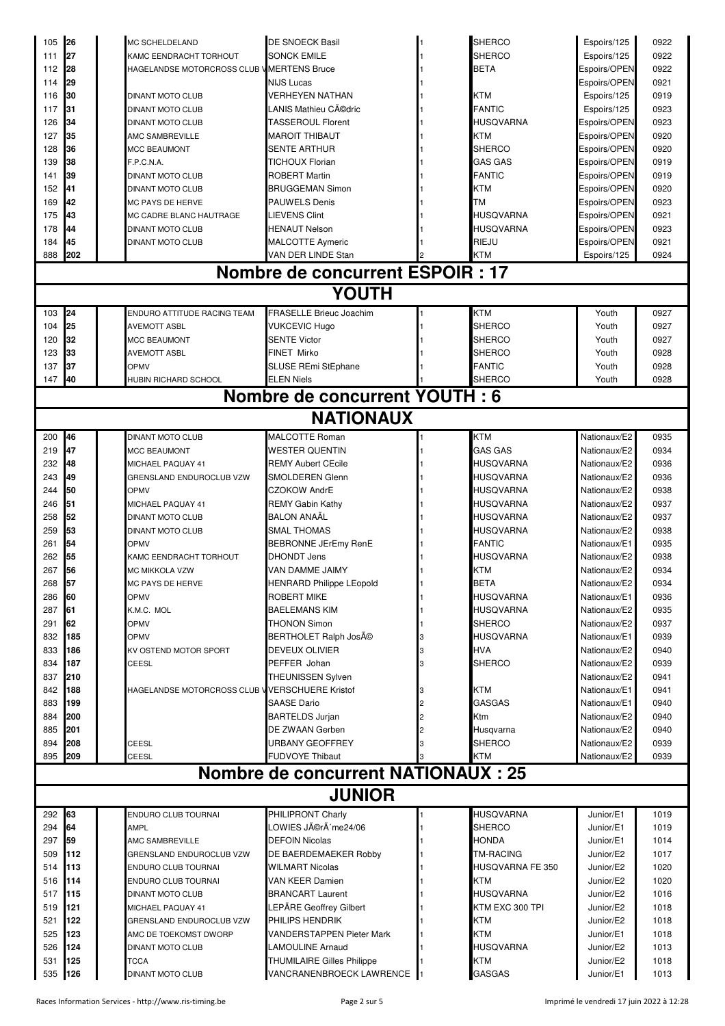| 105           | 26         | <b>MC SCHELDELAND</b>                           | <b>DE SNOECK Basil</b>                             |   | <b>SHERCO</b>                   | Espoirs/125                  | 0922         |
|---------------|------------|-------------------------------------------------|----------------------------------------------------|---|---------------------------------|------------------------------|--------------|
| 111           | 27         | KAMC EENDRACHT TORHOUT                          | <b>SONCK EMILE</b>                                 |   | <b>SHERCO</b>                   | Espoirs/125                  | 0922         |
| 112           | 28         | HAGELANDSE MOTORCROSS CLUB V MERTENS Bruce      |                                                    |   | <b>BETA</b>                     | Espoirs/OPEN                 | 0922         |
| 114           | 29         |                                                 | <b>NIJS Lucas</b>                                  |   |                                 | Espoirs/OPEN                 | 0921         |
| 116           | 30         | <b>DINANT MOTO CLUB</b>                         | <b>VERHEYEN NATHAN</b>                             |   | <b>KTM</b>                      | Espoirs/125                  | 0919         |
| 117           | 31         | <b>DINANT MOTO CLUB</b>                         | LANIS Mathieu Cédric                               |   | <b>FANTIC</b>                   | Espoirs/125                  | 0923         |
| 126           | 34         | <b>DINANT MOTO CLUB</b>                         | <b>TASSEROUL Florent</b>                           |   | HUSQVARNA                       | Espoirs/OPEN                 | 0923         |
| 127           | 35         | AMC SAMBREVILLE                                 | <b>MAROIT THIBAUT</b>                              |   | <b>KTM</b>                      | Espoirs/OPEN                 | 0920         |
| 128           | 36         | <b>MCC BEAUMONT</b>                             | SENTE ARTHUR                                       |   | <b>SHERCO</b>                   | Espoirs/OPEN                 | 0920         |
| 139<br>141    | 38<br>39   | F.P.C.N.A.<br><b>DINANT MOTO CLUB</b>           | <b>TICHOUX Florian</b><br><b>ROBERT Martin</b>     |   | <b>GAS GAS</b><br><b>FANTIC</b> | Espoirs/OPEN                 | 0919<br>0919 |
| 152           | 41         | <b>DINANT MOTO CLUB</b>                         | <b>BRUGGEMAN Simon</b>                             |   | <b>KTM</b>                      | Espoirs/OPEN<br>Espoirs/OPEN | 0920         |
| 169           | 42         | <b>MC PAYS DE HERVE</b>                         | <b>PAUWELS Denis</b>                               |   | <b>TM</b>                       | Espoirs/OPEN                 | 0923         |
| 175           | 43         | MC CADRE BLANC HAUTRAGE                         | <b>LIEVENS Clint</b>                               |   | <b>HUSQVARNA</b>                | Espoirs/OPEN                 | 0921         |
| 178           | 44         | <b>DINANT MOTO CLUB</b>                         | <b>HENAUT Nelson</b>                               |   | <b>HUSQVARNA</b>                | Espoirs/OPEN                 | 0923         |
| 184           | 45         | <b>DINANT MOTO CLUB</b>                         | <b>MALCOTTE Aymeric</b>                            |   | RIEJU                           | Espoirs/OPEN                 | 0921         |
| 888           | 202        |                                                 | VAN DER LINDE Stan                                 |   | <b>KTM</b>                      | Espoirs/125                  | 0924         |
|               |            |                                                 | Nombre de concurrent ESPOIR : 17                   |   |                                 |                              |              |
|               |            |                                                 | <b>YOUTH</b>                                       |   |                                 |                              |              |
| 103           | 24         | ENDURO ATTITUDE RACING TEAM                     | <b>FRASELLE Brieuc Joachim</b>                     |   | <b>KTM</b>                      | Youth                        | 0927         |
| 104           | 25         | <b>AVEMOTT ASBL</b>                             | <b>VUKCEVIC Hugo</b>                               |   | <b>SHERCO</b>                   | Youth                        | 0927         |
| 120           | 32         | <b>MCC BEAUMONT</b>                             | <b>SENTE Victor</b>                                |   | SHERCO                          | Youth                        | 0927         |
| 123           | 33         | <b>AVEMOTT ASBL</b>                             | FINET Mirko                                        |   | <b>SHERCO</b>                   | Youth                        | 0928         |
| 137           | 37         | <b>OPMV</b>                                     | SLUSE REmi StEphane                                |   | <b>FANTIC</b>                   | Youth                        | 0928         |
| 147           | 40         | HUBIN RICHARD SCHOOL                            | <b>ELEN Niels</b>                                  |   | SHERCO                          | Youth                        | 0928         |
|               |            |                                                 | Nombre de concurrent YOUTH : 6                     |   |                                 |                              |              |
|               |            |                                                 | <b>NATIONAUX</b>                                   |   |                                 |                              |              |
|               |            |                                                 |                                                    |   |                                 |                              |              |
| 200           | 46<br>47   | <b>DINANT MOTO CLUB</b>                         | <b>MALCOTTE Roman</b>                              |   | <b>KTM</b>                      | Nationaux/E2                 | 0935         |
| 219<br>232    | 48         | <b>MCC BEAUMONT</b><br>MICHAEL PAQUAY 41        | <b>WESTER QUENTIN</b><br><b>REMY Aubert CEcile</b> |   | GAS GAS<br><b>HUSQVARNA</b>     | Nationaux/E2<br>Nationaux/E2 | 0934<br>0936 |
| 243           | 49         | GRENSLAND ENDUROCLUB VZW                        | SMOLDEREN Glenn                                    |   | <b>HUSQVARNA</b>                | Nationaux/E2                 | 0936         |
| 244           | 50         | <b>OPMV</b>                                     | <b>CZOKOW AndrE</b>                                |   | <b>HUSQVARNA</b>                | Nationaux/E2                 | 0938         |
| 246           | 51         | MICHAEL PAQUAY 41                               | <b>REMY Gabin Kathy</b>                            |   | HUSQVARNA                       | Nationaux/E2                 | 0937         |
| 258           | 52         | <b>DINANT MOTO CLUB</b>                         | <b>BALON ANAÃL</b>                                 |   | HUSQVARNA                       | Nationaux/E2                 | 0937         |
| 259           | 53         | <b>DINANT MOTO CLUB</b>                         | <b>SMAL THOMAS</b>                                 |   | HUSQVARNA                       | Nationaux/E2                 | 0938         |
| 261           | 54         | <b>OPMV</b>                                     | BEBRONNE JErEmy RenE                               |   | <b>FANTIC</b>                   | Nationaux/E1                 | 0935         |
| 262           | 55         | KAMC EENDRACHT TORHOUT                          | <b>DHONDT Jens</b>                                 |   | <b>HUSQVARNA</b>                | Nationaux/E2                 | 0938         |
| 267           | 56         | <b>MC MIKKOLA VZW</b>                           | VAN DAMME JAIMY                                    |   | KTM                             | Nationaux/E2                 | 0934         |
| 268           | 57         | <b>MC PAYS DE HERVE</b>                         | <b>HENRARD Philippe LEopold</b>                    |   | <b>BETA</b>                     | Nationaux/E2                 | 0934         |
| 286           | 60         | <b>OPMV</b>                                     | <b>ROBERT MIKE</b>                                 |   | <b>HUSQVARNA</b>                | Nationaux/E1                 | 0936         |
| 287           | 61         | K.M.C. MOL                                      | <b>BAELEMANS KIM</b>                               |   | <b>HUSQVARNA</b>                | Nationaux/E2                 | 0935         |
| 291           | 62         | <b>OPMV</b>                                     | <b>THONON Simon</b>                                |   | <b>SHERCO</b>                   | Nationaux/E2                 | 0937         |
| 832           | 185        | <b>OPMV</b>                                     | BERTHOLET Ralph JosAO                              |   | <b>HUSQVARNA</b>                | Nationaux/E1                 | 0939         |
| 833           | 186        | KV OSTEND MOTOR SPORT                           | DEVEUX OLIVIER                                     |   | <b>HVA</b>                      | Nationaux/E2                 | 0940         |
| 834           | 187        | <b>CEESL</b>                                    | PEFFER Johan                                       | з | <b>SHERCO</b>                   | Nationaux/E2                 | 0939         |
| 837           | 210        |                                                 | <b>THEUNISSEN Sylven</b>                           |   |                                 | Nationaux/E2                 | 0941         |
| 842           | 188        | HAGELANDSE MOTORCROSS CLUB V VERSCHUERE Kristof |                                                    |   | <b>KTM</b><br>GASGAS            | Nationaux/E1                 | 0941         |
| 883<br>884    | 199<br>200 |                                                 | <b>SAASE Dario</b><br><b>BARTELDS Jurjan</b>       |   | Ktm                             | Nationaux/E1<br>Nationaux/E2 | 0940<br>0940 |
| 885           | 201        |                                                 | DE ZWAAN Gerben                                    |   | Husqvarna                       | Nationaux/E2                 | 0940         |
| 894           | 208        | CEESL                                           | URBANY GEOFFREY                                    |   | <b>SHERCO</b>                   | Nationaux/E2                 | 0939         |
| 895           | 209        | CEESL                                           | <b>FUDVOYE Thibaut</b>                             |   | <b>KTM</b>                      | Nationaux/E2                 | 0939         |
|               |            |                                                 | <b>Nombre de concurrent NATIONAUX : 25</b>         |   |                                 |                              |              |
| <b>JUNIOR</b> |            |                                                 |                                                    |   |                                 |                              |              |
| 292           | 63         | ENDURO CLUB TOURNAI                             | PHILIPRONT Charly                                  |   | <b>HUSQVARNA</b>                | Junior/E1                    | 1019         |
| 294           | 64         | <b>AMPL</b>                                     | LOWIES Jérôme24/06                                 |   | <b>SHERCO</b>                   | Junior/E1                    | 1019         |
| 297           | 59         | AMC SAMBREVILLE                                 | <b>DEFOIN Nicolas</b>                              |   | <b>HONDA</b>                    | Junior/E1                    | 1014         |
| 509           | 112        | GRENSLAND ENDUROCLUB VZW                        | DE BAERDEMAEKER Robby                              |   | TM-RACING                       | Junior/E2                    | 1017         |
| 514           | 113        | <b>ENDURO CLUB TOURNAI</b>                      | <b>WILMART Nicolas</b>                             |   | HUSQVARNA FE 350                | Junior/E2                    | 1020         |
| 516           | 114        | ENDURO CLUB TOURNAI                             | VAN KEER Damien                                    |   | <b>KTM</b>                      | Junior/E2                    | 1020         |
| 517           | 115        | <b>DINANT MOTO CLUB</b>                         | <b>BRANCART Laurent</b>                            |   | <b>HUSQVARNA</b>                | Junior/E2                    | 1016         |
| 519           | 121        | MICHAEL PAQUAY 41                               | LEPÄRE Geoffrey Gilbert                            |   | KTM EXC 300 TPI                 | Junior/E2                    | 1018         |
| 521           | 122        | GRENSLAND ENDUROCLUB VZW                        | PHILIPS HENDRIK                                    |   | <b>KTM</b>                      | Junior/E2                    | 1018         |
| 525           | 123        | AMC DE TOEKOMST DWORP                           | VANDERSTAPPEN Pieter Mark                          |   | <b>KTM</b>                      | Junior/E1                    | 1018         |
| 526           | 124        | <b>DINANT MOTO CLUB</b>                         | LAMOULINE Arnaud                                   |   | <b>HUSQVARNA</b>                | Junior/E2                    | 1013         |
| 531           | 125        | <b>TCCA</b>                                     | <b>THUMILAIRE Gilles Philippe</b>                  |   | <b>KTM</b>                      | Junior/E2                    | 1018         |
| 535           | 126        | <b>DINANT MOTO CLUB</b>                         | VANCRANENBROECK LAWRENCE                           |   | <b>GASGAS</b>                   | Junior/E1                    | 1013         |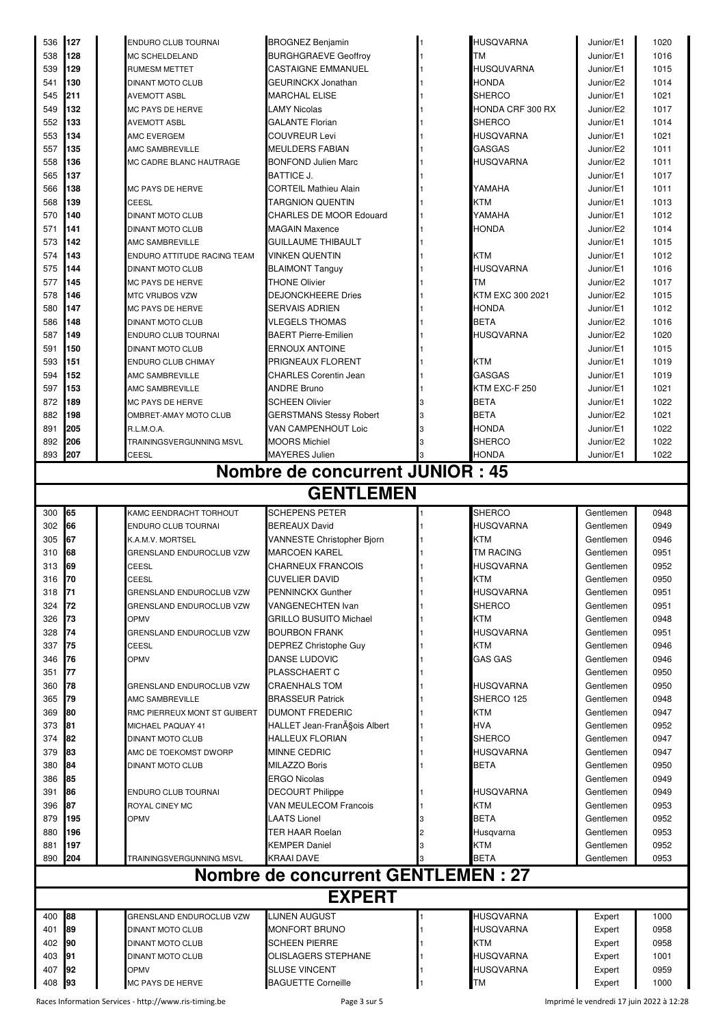|            | 127                              | <b>ENDURO CLUB TOURNAI</b>   | <b>BROGNEZ Benjamin</b>                           |  | <b>HUSQVARNA</b>        | Junior/E1        | 1020         |  |  |  |  |
|------------|----------------------------------|------------------------------|---------------------------------------------------|--|-------------------------|------------------|--------------|--|--|--|--|
| 538        | 128                              | MC SCHELDELAND               | <b>BURGHGRAEVE Geoffroy</b>                       |  | <b>TM</b>               | Junior/E1        | 1016         |  |  |  |  |
| 539        | 129                              | <b>RUMESM METTET</b>         | <b>CASTAIGNE EMMANUEL</b>                         |  | <b>HUSQUVARNA</b>       | Junior/E1        | 1015         |  |  |  |  |
| 541        | 130                              | <b>DINANT MOTO CLUB</b>      | GEURINCKX Jonathan                                |  | HONDA                   | Junior/E2        | 1014         |  |  |  |  |
| 545        | 211                              | <b>AVEMOTT ASBL</b>          | <b>MARCHAL ELISE</b>                              |  | SHERCO                  | Junior/E1        | 1021         |  |  |  |  |
| 549        | 132                              | MC PAYS DE HERVE             | LAMY Nicolas                                      |  | <b>HONDA CRF 300 RX</b> | Junior/E2        | 1017         |  |  |  |  |
| 552        | 133                              | <b>AVEMOTT ASBL</b>          | GALANTE Florian                                   |  | SHERCO                  | Junior/E1        | 1014         |  |  |  |  |
| 553        | 134                              | AMC EVERGEM                  | <b>COUVREUR Levi</b>                              |  | HUSQVARNA               | Junior/E1        | 1021         |  |  |  |  |
| 557        | 135                              | AMC SAMBREVILLE              | <b>MEULDERS FABIAN</b>                            |  | <b>GASGAS</b>           | Junior/E2        | 1011         |  |  |  |  |
| 558        | 136                              | MC CADRE BLANC HAUTRAGE      | <b>BONFOND Julien Marc</b>                        |  | HUSQVARNA               | Junior/E2        | 1011         |  |  |  |  |
| 565        | 137                              |                              | <b>BATTICE J.</b>                                 |  |                         | Junior/E1        | 1017         |  |  |  |  |
| 566        | 138                              | <b>MC PAYS DE HERVE</b>      | <b>CORTEIL Mathieu Alain</b>                      |  | YAMAHA                  | Junior/E1        | 1011         |  |  |  |  |
| 568        | 139                              |                              | <b>TARGNION QUENTIN</b>                           |  | KTM                     |                  |              |  |  |  |  |
|            |                                  | CEESL                        |                                                   |  |                         | Junior/E1        | 1013         |  |  |  |  |
| 570        | 140                              | DINANT MOTO CLUB             | <b>CHARLES DE MOOR Edouard</b>                    |  | YAMAHA                  | Junior/E1        | 1012         |  |  |  |  |
| 571        | 141                              | <b>DINANT MOTO CLUB</b>      | <b>MAGAIN Maxence</b>                             |  | HONDA                   | Junior/E2        | 1014         |  |  |  |  |
| 573        | 142                              | AMC SAMBREVILLE              | <b>GUILLAUME THIBAULT</b>                         |  |                         | Junior/E1        | 1015         |  |  |  |  |
| 574        | 143                              | ENDURO ATTITUDE RACING TEAM  | <b>VINKEN QUENTIN</b>                             |  | <b>KTM</b>              | Junior/E1        | 1012         |  |  |  |  |
| 575        | 144                              | DINANT MOTO CLUB             | <b>BLAIMONT Tanguy</b>                            |  | HUSQVARNA               | Junior/E1        | 1016         |  |  |  |  |
| 577        | 145                              | <b>MC PAYS DE HERVE</b>      | <b>THONE Olivier</b>                              |  | TМ                      | Junior/E2        | 1017         |  |  |  |  |
| 578        | 146                              | <b>MTC VRIJBOS VZW</b>       | <b>DEJONCKHEERE Dries</b>                         |  | KTM EXC 300 2021        | Junior/E2        | 1015         |  |  |  |  |
| 580        | 147                              | MC PAYS DE HERVE             | SERVAIS ADRIEN                                    |  | HONDA                   | Junior/E1        | 1012         |  |  |  |  |
| 586        | 148                              | <b>DINANT MOTO CLUB</b>      | <b>VLEGELS THOMAS</b>                             |  | <b>BETA</b>             | Junior/E2        | 1016         |  |  |  |  |
| 587        | 149                              | <b>ENDURO CLUB TOURNAI</b>   | <b>BAERT Pierre-Emilien</b>                       |  | HUSQVARNA               | Junior/E2        | 1020         |  |  |  |  |
| 591        | 150                              | DINANT MOTO CLUB             | ERNOUX ANTOINE                                    |  |                         | Junior/E1        | 1015         |  |  |  |  |
| 593        | 151                              | ENDURO CLUB CHIMAY           | PRIGNEAUX FLORENT                                 |  | KTM                     | Junior/E1        | 1019         |  |  |  |  |
| 594        | 152                              | AMC SAMBREVILLE              | <b>CHARLES Corentin Jean</b>                      |  | GASGAS                  | Junior/E1        | 1019         |  |  |  |  |
| 597        | 153                              | AMC SAMBREVILLE              | <b>ANDRE Bruno</b>                                |  | KTM EXC-F 250           | Junior/E1        | 1021         |  |  |  |  |
| 872        | 189                              | MC PAYS DE HERVE             | <b>SCHEEN Olivier</b>                             |  | BETA                    | Junior/E1        | 1022         |  |  |  |  |
| 882        | 198                              | OMBRET-AMAY MOTO CLUB        | GERSTMANS Stessy Robert                           |  | BETA                    | Junior/E2        | 1021         |  |  |  |  |
| 891        | 205                              | R.L.M.O.A.                   | VAN CAMPENHOUT Loic                               |  | HONDA                   | Junior/E1        | 1022         |  |  |  |  |
| 892        | 206                              | TRAININGSVERGUNNING MSVL     | <b>MOORS Michiel</b>                              |  | SHERCO                  | Junior/E2        | 1022         |  |  |  |  |
| 893        | 207                              | CEESL                        | <b>MAYERES Julien</b>                             |  | HONDA                   | Junior/E1        | 1022         |  |  |  |  |
|            | Nombre de concurrent JUNIOR : 45 |                              |                                                   |  |                         |                  |              |  |  |  |  |
|            |                                  |                              |                                                   |  |                         |                  |              |  |  |  |  |
|            |                                  |                              | <b>GENTLEMEN</b>                                  |  |                         |                  |              |  |  |  |  |
| 300        | 65                               | KAMC EENDRACHT TORHOUT       | <b>SCHEPENS PETER</b>                             |  | <b>SHERCO</b>           | Gentlemen        | 0948         |  |  |  |  |
| 302        | 66                               | ENDURO CLUB TOURNAI          | <b>BEREAUX David</b>                              |  | HUSQVARNA               | Gentlemen        | 0949         |  |  |  |  |
| 305        | 67                               | K.A.M.V. MORTSEL             | VANNESTE Christopher Bjorn                        |  | <b>KTM</b>              | Gentlemen        | 0946         |  |  |  |  |
| 310        | 68                               | GRENSLAND ENDUROCLUB VZW     | <b>MARCOEN KAREL</b>                              |  | TM RACING               | Gentlemen        | 0951         |  |  |  |  |
| 313        | 69                               |                              |                                                   |  |                         |                  |              |  |  |  |  |
| 316        |                                  |                              |                                                   |  |                         |                  |              |  |  |  |  |
|            |                                  | CEESL                        | <b>CHARNEUX FRANCOIS</b>                          |  | HUSQVARNA               | Gentlemen        | 0952         |  |  |  |  |
|            | 70                               | <b>CEESL</b>                 | <b>CUVELIER DAVID</b>                             |  | KTM                     | Gentlemen        | 0950         |  |  |  |  |
| 318        | 71                               | GRENSLAND ENDUROCLUB VZW     | <b>PENNINCKX Gunther</b>                          |  | <b>HUSQVARNA</b>        | Gentlemen        | 0951         |  |  |  |  |
| 324        | 72                               | GRENSLAND ENDUROCLUB VZW     | <b>VANGENECHTEN Ivan</b>                          |  | SHERCO                  | Gentlemen        | 0951         |  |  |  |  |
| 326        | 73                               | <b>OPMV</b>                  | <b>GRILLO BUSUITO Michael</b>                     |  | <b>KTM</b>              | Gentlemen        | 0948         |  |  |  |  |
| 328        | 74                               | GRENSLAND ENDUROCLUB VZW     | <b>BOURBON FRANK</b>                              |  | HUSQVARNA               | Gentlemen        | 0951         |  |  |  |  |
| 337        | 75                               | CEESL                        | <b>DEPREZ Christophe Guy</b>                      |  | <b>KTM</b>              | Gentlemen        | 0946         |  |  |  |  |
| 346        | 76                               | <b>OPMV</b>                  | <b>DANSE LUDOVIC</b>                              |  | GAS GAS                 | Gentlemen        | 0946         |  |  |  |  |
| 351        | 77                               |                              | PLASSCHAERT C                                     |  |                         | Gentlemen        | 0950         |  |  |  |  |
| 360        | 78                               | GRENSLAND ENDUROCLUB VZW     | <b>CRAENHALS TOM</b>                              |  | HUSQVARNA               | Gentlemen        | 0950         |  |  |  |  |
| 365        | 79                               | AMC SAMBREVILLE              | <b>BRASSEUR Patrick</b>                           |  | SHERCO 125              | Gentlemen        | 0948         |  |  |  |  |
| 369        | 80                               | RMC PIERREUX MONT ST GUIBERT | <b>DUMONT FREDERIC</b>                            |  | <b>KTM</b>              | Gentlemen        | 0947         |  |  |  |  |
| 373        | 81                               | MICHAEL PAQUAY 41            | HALLET Jean-Fran§ois Albert                       |  | HVA                     | Gentlemen        | 0952         |  |  |  |  |
| 374        | 82                               | DINANT MOTO CLUB             | HALLEUX FLORIAN                                   |  | SHERCO                  | Gentlemen        | 0947         |  |  |  |  |
| 379        | 83                               | AMC DE TOEKOMST DWORP        | <b>MINNE CEDRIC</b>                               |  | HUSQVARNA               | Gentlemen        | 0947         |  |  |  |  |
| 380        | 84                               | <b>DINANT MOTO CLUB</b>      | MILAZZO Boris                                     |  | BETA                    | Gentlemen        | 0950         |  |  |  |  |
| 386        | 85                               |                              | <b>ERGO Nicolas</b>                               |  |                         | Gentlemen        | 0949         |  |  |  |  |
| 391        | 86                               | ENDURO CLUB TOURNAI          | <b>DECOURT Philippe</b>                           |  | <b>HUSQVARNA</b>        | Gentlemen        | 0949         |  |  |  |  |
| 396        | 87                               | ROYAL CINEY MC               | VAN MEULECOM Francois                             |  | KTM                     | Gentlemen        | 0953         |  |  |  |  |
| 879        | 195                              | <b>OPMV</b>                  | LAATS Lionel                                      |  | BETA                    | Gentlemen        | 0952         |  |  |  |  |
| 880        | 196                              |                              | TER HAAR Roelan                                   |  | Husqvarna               | Gentlemen        | 0953         |  |  |  |  |
| 881        | 197                              |                              | <b>KEMPER Daniel</b>                              |  | KTM                     | Gentlemen        | 0952         |  |  |  |  |
| 890        | 204                              | TRAININGSVERGUNNING MSVL     | <b>KRAAI DAVE</b>                                 |  | <b>BETA</b>             | Gentlemen        | 0953         |  |  |  |  |
|            |                                  |                              | <b>Nombre de concurrent GENTLEMEN : 27</b>        |  |                         |                  |              |  |  |  |  |
|            |                                  |                              | <b>EXPERT</b>                                     |  |                         |                  |              |  |  |  |  |
|            |                                  |                              |                                                   |  |                         |                  |              |  |  |  |  |
| 400        | 88                               | GRENSLAND ENDUROCLUB VZW     | LIJNEN AUGUST                                     |  | HUSQVARNA               | Expert           | 1000         |  |  |  |  |
| 401        | 89                               | DINANT MOTO CLUB             | MONFORT BRUNO                                     |  | HUSQVARNA               | Expert           | 0958         |  |  |  |  |
| 402        | 90                               | DINANT MOTO CLUB             | <b>SCHEEN PIERRE</b>                              |  | KTM                     | Expert           | 0958         |  |  |  |  |
| 403        | 91                               | <b>DINANT MOTO CLUB</b>      | OLISLAGERS STEPHANE                               |  | HUSQVARNA               | Expert           | 1001         |  |  |  |  |
| 407<br>408 | 92<br>93                         | OPMV<br>MC PAYS DE HERVE     | <b>SLUSE VINCENT</b><br><b>BAGUETTE Corneille</b> |  | HUSQVARNA<br>TМ         | Expert<br>Expert | 0959<br>1000 |  |  |  |  |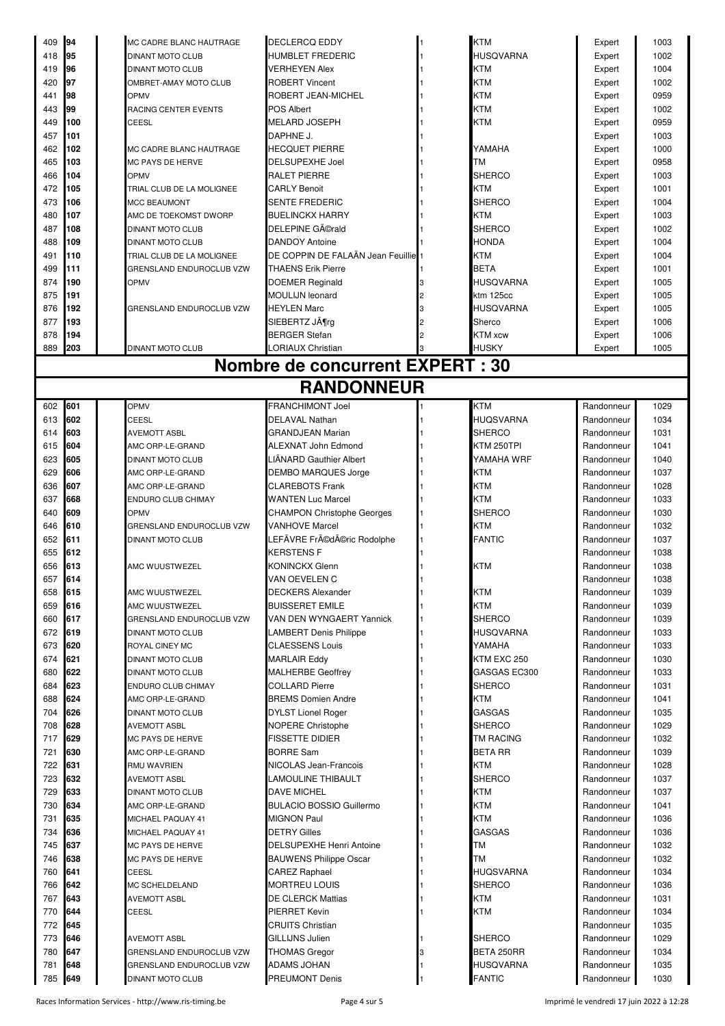| 409        | 94         | MC CADRE BLANC HAUTRAGE                      | <b>DECLERCQ EDDY</b>                        | <b>KTM</b>                        | Expert                   | 1003         |
|------------|------------|----------------------------------------------|---------------------------------------------|-----------------------------------|--------------------------|--------------|
| 418        | 95         | DINANT MOTO CLUB                             | HUMBLET FREDERIC                            | <b>HUSQVARNA</b>                  | Expert                   | 1002         |
| 419        | 96         | <b>DINANT MOTO CLUB</b>                      | <b>VERHEYEN Alex</b>                        | <b>KTM</b>                        | Expert                   | 1004         |
|            |            |                                              |                                             |                                   |                          |              |
| 420        | 97         | OMBRET-AMAY MOTO CLUB                        | <b>ROBERT Vincent</b>                       | <b>KTM</b>                        | Expert                   | 1002         |
| 441        | 98         | OPMV                                         | ROBERT JEAN-MICHEL                          | <b>KTM</b>                        | Expert                   | 0959         |
| 443        | 99         | RACING CENTER EVENTS                         | POS Albert                                  | KTM                               | Expert                   | 1002         |
| 449        | 100        | CEESL                                        | <b>MELARD JOSEPH</b>                        | <b>KTM</b>                        |                          | 0959         |
|            |            |                                              |                                             |                                   | Expert                   |              |
| 457        | 101        |                                              | DAPHNE J.                                   |                                   | Expert                   | 1003         |
| 462        | 102        | MC CADRE BLANC HAUTRAGE                      | <b>HECQUET PIERRE</b>                       | YAMAHA                            | Expert                   | 1000         |
| 465        | 103        | MC PAYS DE HERVE                             | DELSUPEXHE Joel                             | <b>TM</b>                         | Expert                   | 0958         |
| 466        | 104        | OPMV                                         | RALET PIERRE                                | <b>SHERCO</b>                     |                          | 1003         |
|            |            |                                              |                                             |                                   | Expert                   |              |
| 472        | 105        | TRIAL CLUB DE LA MOLIGNEE                    | <b>CARLY Benoit</b>                         | <b>KTM</b>                        | Expert                   | 1001         |
| 473        | 106        | <b>MCC BEAUMONT</b>                          | SENTE FREDERIC                              | <b>SHERCO</b>                     | Expert                   | 1004         |
| 480        | 107        | AMC DE TOEKOMST DWORP                        | <b>BUELINCKX HARRY</b>                      | <b>KTM</b>                        | Expert                   | 1003         |
| 487        | 108        | DINANT MOTO CLUB                             | DELEPINE Gérald                             | <b>SHERCO</b>                     | Expert                   | 1002         |
|            |            |                                              |                                             |                                   |                          |              |
| 488        | 109        | DINANT MOTO CLUB                             | <b>DANDOY Antoine</b>                       | <b>HONDA</b>                      | Expert                   | 1004         |
| 491        | 110        | TRIAL CLUB DE LA MOLIGNEE                    | DE COPPIN DE FALAÃN Jean Feuillie           | <b>KTM</b>                        | Expert                   | 1004         |
| 499        | 111        | GRENSLAND ENDUROCLUB VZW                     | <b>THAENS Erik Pierre</b>                   | <b>BETA</b>                       | Expert                   | 1001         |
| 874        | 190        | OPMV                                         | DOEMER Reginald                             | <b>HUSQVARNA</b>                  | Expert                   | 1005         |
|            |            |                                              |                                             |                                   |                          |              |
| 875        | 191        |                                              | <b>MOULIJN leonard</b>                      | ktm 125cc                         | Expert                   | 1005         |
| 876        | 192        | <b>GRENSLAND ENDUROCLUB VZW</b>              | <b>HEYLEN Marc</b>                          | <b>HUSQVARNA</b>                  | Expert                   | 1005         |
| 877        | 193        |                                              | SIEBERTZ Jörq                               | Sherco                            | Expert                   | 1006         |
| 878        | 194        |                                              | <b>BERGER Stefan</b>                        | KTM xcw                           | Expert                   | 1006         |
|            |            |                                              |                                             |                                   |                          |              |
| 889        | 203        | DINANT MOTO CLUB                             | LORIAUX Christian                           | <b>HUSKY</b>                      | Expert                   | 1005         |
|            |            |                                              | Nombre de concurrent EXPERT : 30            |                                   |                          |              |
|            |            |                                              |                                             |                                   |                          |              |
|            |            |                                              | <b>RANDONNEUR</b>                           |                                   |                          |              |
|            |            |                                              |                                             |                                   |                          |              |
| 602        | 601        | OPMV                                         | <b>FRANCHIMONT Joel</b>                     | <b>KTM</b>                        | Randonneur               | 1029         |
| 613        | 602        | CEESL                                        | <b>DELAVAL Nathan</b>                       | <b>HUQSVARNA</b>                  | Randonneur               | 1034         |
| 614        | 603        | <b>AVEMOTT ASBL</b>                          | <b>GRANDJEAN Marian</b>                     | <b>SHERCO</b>                     | Randonneur               | 1031         |
| 615        | 604        | AMC ORP-LE-GRAND                             | ALEXNAT John Edmond                         | KTM 250TPI                        | Randonneur               | 1041         |
|            |            |                                              |                                             |                                   |                          |              |
| 623        | 605        | <b>DINANT MOTO CLUB</b>                      | LIÄNARD Gauthier Albert                     | YAMAHA WRF                        | Randonneur               | 1040         |
| 629        | 606        | AMC ORP-LE-GRAND                             | DEMBO MARQUES Jorge                         | KTM                               | Randonneur               | 1037         |
| 636        | 607        | AMC ORP-LE-GRAND                             | <b>CLAREBOTS Frank</b>                      | <b>KTM</b>                        | Randonneur               | 1028         |
| 637        | 668        | ENDURO CLUB CHIMAY                           | <b>WANTEN Luc Marcel</b>                    | <b>KTM</b>                        | Randonneur               | 1033         |
| 640        | 609        | OPMV                                         | <b>CHAMPON Christophe Georges</b>           | <b>SHERCO</b>                     | Randonneur               | 1030         |
|            |            |                                              |                                             |                                   |                          |              |
| 646        | 610        | GRENSLAND ENDUROCLUB VZW                     | <b>VANHOVE Marcel</b>                       | <b>KTM</b>                        | Randonneur               | 1032         |
| 652        | 611        | DINANT MOTO CLUB                             | LEFÃVRE Frédéric Rodolphe                   | <b>FANTIC</b>                     | Randonneur               | 1037         |
| 655        | 612        |                                              | KERSTENS F                                  |                                   | Randonneur               | 1038         |
| 656        | 613        | AMC WUUSTWEZEL                               | KONINCKX Glenn                              | <b>KTM</b>                        | Randonneur               | 1038         |
|            |            |                                              | VAN OEVELEN C                               |                                   | Randonneur               | 1038         |
| 657        | 614        |                                              |                                             |                                   |                          |              |
| 658        | 615        | AMC WUUSTWEZEL                               | DECKERS Alexander                           | <b>KTM</b>                        | Randonneur               | 1039         |
| 659        | 616        | AMC WUUSTWEZEL                               | <b>BUISSERET EMILE</b>                      | KTM                               | Randonneur               | 1039         |
| 660        | 617        | GRENSLAND ENDUROCLUB VZW                     | VAN DEN WYNGAERT Yannick                    | <b>SHERCO</b>                     | Randonneur               | 1039         |
| 672        | 619        | <b>DINANT MOTO CLUB</b>                      | LAMBERT Denis Philippe                      | <b>HUSQVARNA</b>                  | Randonneur               | 1033         |
|            |            |                                              |                                             |                                   |                          |              |
| 673        | 620        | ROYAL CINEY MC                               | <b>CLAESSENS Louis</b>                      | YAMAHA                            | Randonneur               | 1033         |
| 674        | 621        | <b>DINANT MOTO CLUB</b>                      | <b>MARLAIR Eddy</b>                         | KTM EXC 250                       | Randonneur               | 1030         |
| 680        | 622        | <b>DINANT MOTO CLUB</b>                      | <b>MALHERBE Geoffrey</b>                    | GASGAS EC300                      | Randonneur               | 1033         |
| 684        | 623        | ENDURO CLUB CHIMAY                           | COLLARD Pierre                              | SHERCO                            | Randonneur               | 1031         |
| 688        | 624        | AMC ORP-LE-GRAND                             | <b>BREMS Domien Andre</b>                   | KTM                               | Randonneur               | 1041         |
|            |            |                                              |                                             |                                   |                          |              |
| 704        | 626        | <b>DINANT MOTO CLUB</b>                      | <b>DYLST Lionel Roger</b>                   | <b>GASGAS</b>                     | Randonneur               | 1035         |
| 708        | 628        | AVEMOTT ASBL                                 | <b>NOPERE Christophe</b>                    | <b>SHERCO</b>                     | Randonneur               | 1029         |
| 717        | 629        | MC PAYS DE HERVE                             | FISSETTE DIDIER                             | <b>TM RACING</b>                  | Randonneur               | 1032         |
| 721        | 630        | AMC ORP-LE-GRAND                             | <b>BORRE Sam</b>                            | <b>BETA RR</b>                    | Randonneur               | 1039         |
| 722        | 631        | RMU WAVRIEN                                  | NICOLAS Jean-Francois                       | KTM                               | Randonneur               | 1028         |
|            |            |                                              |                                             |                                   |                          |              |
| 723        | 632        | AVEMOTT ASBL                                 | LAMOULINE THIBAULT                          | <b>SHERCO</b>                     | Randonneur               | 1037         |
| 729        | 633        | DINANT MOTO CLUB                             | <b>DAVE MICHEL</b>                          | <b>KTM</b>                        | Randonneur               | 1037         |
| 730        | 634        | AMC ORP-LE-GRAND                             | <b>BULACIO BOSSIO Guillermo</b>             | <b>KTM</b>                        | Randonneur               | 1041         |
| 731        | 635        | MICHAEL PAQUAY 41                            | <b>MIGNON Paul</b>                          | <b>KTM</b>                        | Randonneur               | 1036         |
| 734        | 636        | MICHAEL PAQUAY 41                            | DETRY Gilles                                | <b>GASGAS</b>                     | Randonneur               | 1036         |
|            |            |                                              |                                             |                                   |                          |              |
| 745        | 637        | <b>MC PAYS DE HERVE</b>                      | DELSUPEXHE Henri Antoine                    | <b>TM</b>                         | Randonneur               | 1032         |
| 746        | 638        | MC PAYS DE HERVE                             | <b>BAUWENS Philippe Oscar</b>               | TM                                | Randonneur               | 1032         |
| 760        | 641        | CEESL                                        | CAREZ Raphael                               | <b>HUQSVARNA</b>                  | Randonneur               | 1034         |
| 766        | 642        | MC SCHELDELAND                               | MORTREU LOUIS                               | <b>SHERCO</b>                     | Randonneur               | 1036         |
| 767        | 643        | <b>AVEMOTT ASBL</b>                          | DE CLERCK Mattias                           | KTM                               | Randonneur               | 1031         |
|            |            |                                              |                                             |                                   |                          |              |
| 770        | 644        | CEESL                                        | PIERRET Kevin                               | <b>KTM</b>                        | Randonneur               | 1034         |
| 772        | 645        |                                              | CRUITS Christian                            |                                   | Randonneur               | 1035         |
| 773        |            |                                              |                                             |                                   |                          |              |
|            | 646        | <b>AVEMOTT ASBL</b>                          | GILLIJNS Julien                             | <b>SHERCO</b>                     | Randonneur               | 1029         |
|            |            |                                              |                                             |                                   |                          |              |
| 780        | 647        | GRENSLAND ENDUROCLUB VZW                     | <b>THOMAS Gregor</b>                        | BETA 250RR                        | Randonneur               | 1034         |
| 781<br>785 | 648<br>649 | GRENSLAND ENDUROCLUB VZW<br>DINANT MOTO CLUB | <b>ADAMS JOHAN</b><br><b>PREUMONT Denis</b> | <b>HUSQVARNA</b><br><b>FANTIC</b> | Randonneur<br>Randonneur | 1035<br>1030 |